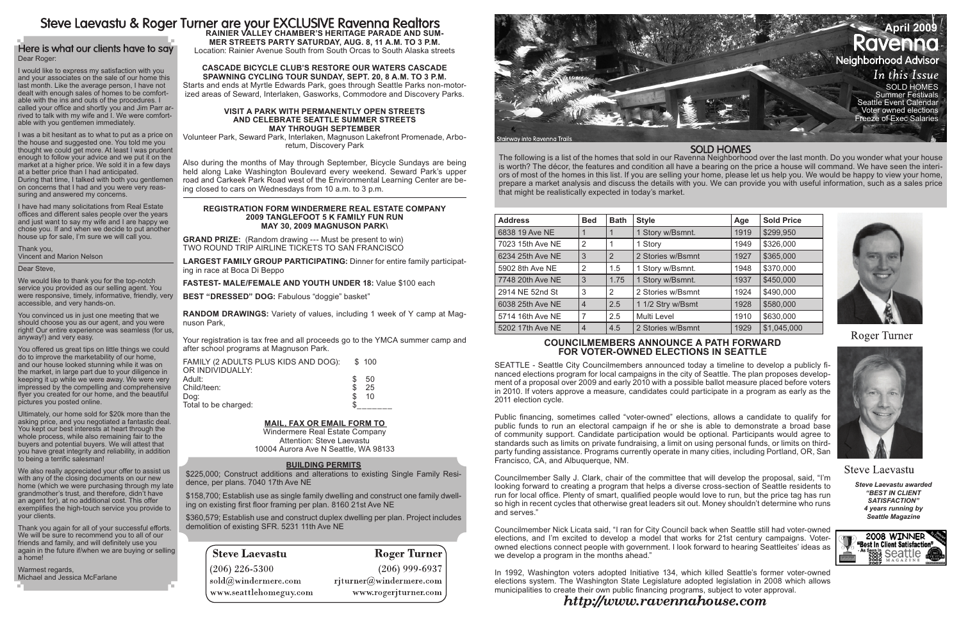The following is a list of the homes that sold in our Ravenna Neighborhood over the last month. Do you wonder what your house is worth? The décor, the features and condition all have a bearing on the price a house will command. We have seen the interiors of most of the homes in this list. If you are selling your home, please let us help you. We would be happy to view your home, prepare a market analysis and discuss the details with you. We can provide you with useful information, such as a sales price that might be realistically expected in today's market.

# Steve Laevastu & Roger Turner are your EXCLUSIVE Ravenna Realtors

### Here is what our clients have to say Dear Roger:

*Steve Laevastu awarded "Best In Client Satisfaction" 4 years running by Seattle Magazine*



| <b>Address</b>   | <b>Bed</b>     | <b>Bath</b> | <b>Style</b>      | Age  | <b>Sold Price</b> |
|------------------|----------------|-------------|-------------------|------|-------------------|
| 6838 19 Ave NE   |                |             | 1 Story w/Bsmnt.  | 1919 | \$299,950         |
| 7023 15th Ave NE | 2              |             | 1 Story           | 1949 | \$326,000         |
| 6234 25th Ave NE | 3              | 2           | 2 Stories w/Bsmnt | 1927 | \$365,000         |
| 5902 8th Ave NE  | 2              | 1.5         | 1 Story w/Bsmnt.  | 1948 | \$370,000         |
| 7748 20th Ave NE | 3              | 1.75        | 1 Story w/Bsmnt.  | 1937 | \$450,000         |
| 2914 NE 52nd St  | 3              | 2           | 2 Stories w/Bsmnt | 1924 | \$490,000         |
| 6038 25th Ave NE | $\overline{4}$ | 2.5         | 1 1/2 Stry w/Bsmt | 1928 | \$580,000         |
| 5714 16th Ave NE | 7              | 2.5         | Multi Level       | 1910 | \$630,000         |
| 5202 17th Ave NE | $\overline{4}$ | 4.5         | 2 Stories w/Bsmnt | 1929 | \$1,045,000       |

I would like to express my satisfaction with you and your associates on the sale of our home this last month. Like the average person, I have not dealt with enough sales of homes to be comfortable with the ins and outs of the procedures. I called your office and shortly you and Jim Parr arrived to talk with my wife and I. We were comfortable with you gentlemen immediately.

I was a bit hesitant as to what to put as a price on the house and suggested one. You told me you thought we could get more. At least I was prudent enough to follow your advice and we put it on the market at a higher price. We sold it in a few days at a better price than I had anticipated. During that time, I talked with both you gentlemen on concerns that I had and you were very reassuring and answered my concerns.



I have had many solicitations from Real Estate offices and different sales people over the years and just want to say my wife and I are happy we chose you. If and when we decide to put another house up for sale, I'm sure we will call you.

Thank you, Vincent and Marion Nelson

Dear Steve,

We would like to thank you for the top-notch service you provided as our selling agent. You were responsive, timely, informative, friendly, very accessible, and very hands-on.

You convinced us in just one meeting that we should choose you as our agent, and you were right! Our entire experience was seamless (for us, anyway!) and very easy.

You offered us great tips on little things we could do to improve the marketability of our home, and our house looked stunning while it was on the market, in large part due to your diligence in keeping it up while we were away. We were very impressed by the compelling and comprehensive flyer you created for our home, and the beautiful pictures you posted online.

> In 1992, Washington voters adopted Initiative 134, which killed Seattle's former voter-owned elections system. The Washington State Legislature adopted legislation in 2008 which allows municipalities to create their own public financing programs, subject to voter approval. http://www.ravennahouse.com

### **SOLD HOMES**

**Roger Turner** 



**Steve Laevastu** 

Ultimately, our home sold for \$20k more than the asking price, and you negotiated a fantastic deal. You kept our best interests at heart through the whole process, while also remaining fair to the buyers and potential buyers. We will attest that you have great integrity and reliability, in addition to being a terrific salesman!

We also really appreciated your offer to assist us with any of the closing documents on our new home (which we were purchasing through my late grandmother's trust, and therefore, didn't have an agent for), at no additional cost. This offer exemplifies the high-touch service you provide to your clients.

Thank you again for all of your successful efforts. We will be sure to recommend you to all of our friends and family, and will definitely use you again in the future if/when we are buying or selling a home!

Warmest regards, Michael and Jessica McFarlane

### **Councilmembers Announce a Path Forward for Voter-Owned Elections in Seattle**

SEATTLE - Seattle City Councilmembers announced today a timeline to develop a publicly financed elections program for local campaigns in the city of Seattle. The plan proposes development of a proposal over 2009 and early 2010 with a possible ballot measure placed before voters in 2010. If voters approve a measure, candidates could participate in a program as early as the 2011 election cycle.

Public financing, sometimes called "voter-owned" elections, allows a candidate to qualify for public funds to run an electoral campaign if he or she is able to demonstrate a broad base of community support. Candidate participation would be optional. Participants would agree to standards such as limits on private fundraising, a limit on using personal funds, or limits on thirdparty funding assistance. Programs currently operate in many cities, including Portland, OR, San Francisco, CA, and Albuquerque, NM.

Councilmember Sally J. Clark, chair of the committee that will develop the proposal, said, "I'm looking forward to creating a program that helps a diverse cross-section of Seattle residents to run for local office. Plenty of smart, qualified people would love to run, but the price tag has run so high in recent cycles that otherwise great leaders sit out. Money shouldn't determine who runs and serves."

Councilmember Nick Licata said, "I ran for City Council back when Seattle still had voter-owned elections, and I'm excited to develop a model that works for 21st century campaigns. Voterowned elections connect people with government. I look forward to hearing Seattleites' ideas as we develop a program in the months ahead."

#### **BUILDING PERMITS**

\$225,000; Construct additions and alterations to existing Single Family Residence, per plans. 7040 17th Ave NE

\$158,700; Establish use as single family dwelling and construct one family dwelling on existing first floor framing per plan. 8160 21st Ave NE

\$360,579; Establish use and construct duplex dwelling per plan. Project includes demolition of existing SFR. 5231 11th Ave NE

# **Steve Laevastu**

 $(206)$  226-5300  $\mathrm{sold}(\widehat{a}$ windermere.com www.seattlehomeguy.com

## **Roger Turner**

 $(206)$  999-6937  $r$ jturner@windermere.com www.rogerjturner.com

# **mer Streets Party Saturday, Aug. 8, 11 a.m. to 3 p.m.**

Location: Rainier Avenue South from South Orcas to South Alaska streets

#### **Cascade Bicycle Club's Restore Our Waters Cascade Spawning Cycling Tour Sunday, Sept. 20, 8 a.m. to 3 p.m.**

Starts and ends at Myrtle Edwards Park, goes through Seattle Parks non-motorized areas of Seward, Interlaken, Gasworks, Commodore and Discovery Parks.

#### **Visit a park with permanently open streets and Celebrate Seattle Summer Streets May through September**

Volunteer Park, Seward Park, Interlaken, Magnuson Lakefront Promenade, Arboretum, Discovery Park

Also during the months of May through September, Bicycle Sundays are being held along Lake Washington Boulevard every weekend. Seward Park's upper road and Carkeek Park Road west of the Environmental Learning Center are being closed to cars on Wednesdays from 10 a.m. to 3 p.m.

#### **REGISTRATION FORM WINDERMERE REAL ESTATE COMPANY 2009 TANGLEFOOT 5 K FAMILY FUN RUN May 30, 2009 MAGNUSON PARK\**

**GRAND PRIZE:** (Random drawing --- Must be present to win) TWO ROUND TRIP AIRLINE TICKETS TO SAN FRANCISCO

**LARGEST FAMILY GROUP PARTICIPATING:** Dinner for entire family participating in race at Boca Di Beppo

**FASTEST- MALE/FEMALE AND YOUTH UNDER 18:** Value \$100 each

**BEST "DRESSED" DOG:** Fabulous "doggie" basket"

**RANDOM DRAWINGS:** Variety of values, including 1 week of Y camp at Magnuson Park,

Your registration is tax free and all proceeds go to the YMCA summer camp and after school programs at Magnuson Park.

| FAMILY (2 ADULTS PLUS KIDS AND DOG): | \$100    |  |
|--------------------------------------|----------|--|
| OR INDIVIDUALLY:                     |          |  |
| Adult:                               | 50<br>£. |  |
| Child/teen:                          | 25       |  |
| Dog:                                 | 10       |  |
| Total to be charged:                 |          |  |

#### **Mail, Fax Or Email Form To**

Windermere Real Estate Company Attention: Steve Laevastu 10004 Aurora Ave N Seattle, WA 98133